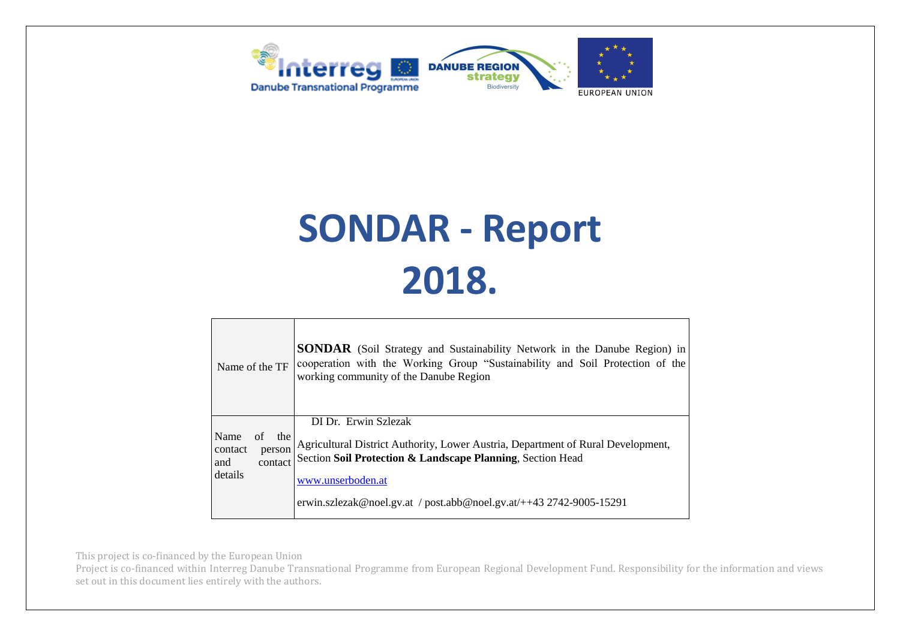



| Name of the TF                                                      | <b>SONDAR</b> (Soil Strategy and Sustainability Network in the Danube Region) in<br>cooperation with the Working Group "Sustainability and Soil Protection of the<br>working community of the Danube Region                                                        |
|---------------------------------------------------------------------|--------------------------------------------------------------------------------------------------------------------------------------------------------------------------------------------------------------------------------------------------------------------|
| Name<br>of<br>the<br>contact<br>person<br>contact<br>and<br>details | DI Dr. Erwin Szlezak<br>Agricultural District Authority, Lower Austria, Department of Rural Development,<br>Section Soil Protection & Landscape Planning, Section Head<br>www.unserboden.at<br>erwin.szlezak@noel.gv.at / post.abb@noel.gv.at/++43 2742-9005-15291 |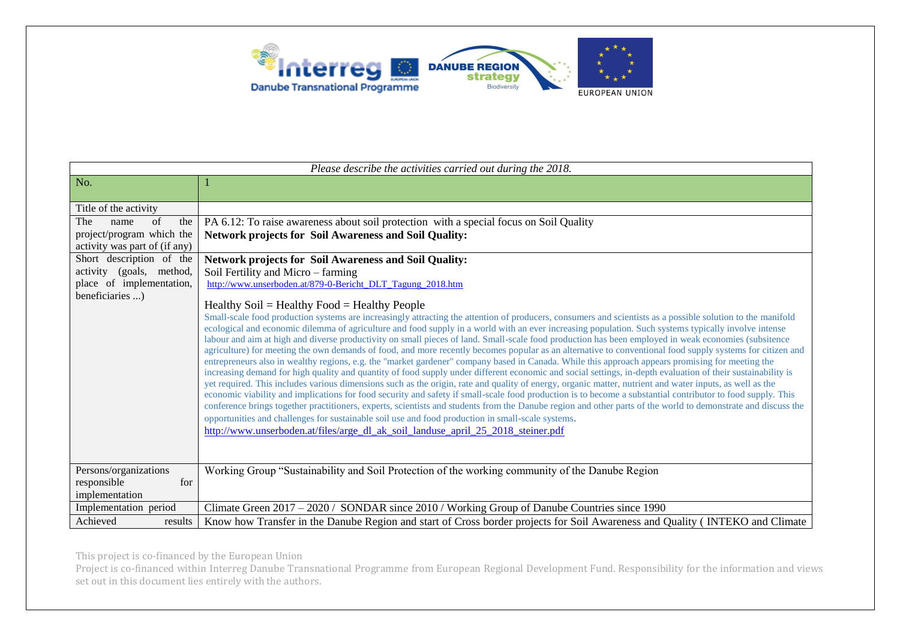

| Please describe the activities carried out during the 2018. |                                                                                                                                                                                                                                                                                                                              |  |
|-------------------------------------------------------------|------------------------------------------------------------------------------------------------------------------------------------------------------------------------------------------------------------------------------------------------------------------------------------------------------------------------------|--|
| No.                                                         |                                                                                                                                                                                                                                                                                                                              |  |
|                                                             |                                                                                                                                                                                                                                                                                                                              |  |
| Title of the activity                                       |                                                                                                                                                                                                                                                                                                                              |  |
| of<br>The<br>the<br>name                                    | PA 6.12: To raise awareness about soil protection with a special focus on Soil Quality                                                                                                                                                                                                                                       |  |
| project/program which the                                   | <b>Network projects for Soil Awareness and Soil Quality:</b>                                                                                                                                                                                                                                                                 |  |
| activity was part of (if any)                               |                                                                                                                                                                                                                                                                                                                              |  |
| Short description of the                                    | <b>Network projects for Soil Awareness and Soil Quality:</b>                                                                                                                                                                                                                                                                 |  |
| activity (goals, method,                                    | Soil Fertility and Micro – farming                                                                                                                                                                                                                                                                                           |  |
| place of implementation,                                    | http://www.unserboden.at/879-0-Bericht DLT Tagung 2018.htm                                                                                                                                                                                                                                                                   |  |
| beneficiaries )                                             |                                                                                                                                                                                                                                                                                                                              |  |
|                                                             | Healthy $Soil = Healthy Food = Healthy People$<br>Small-scale food production systems are increasingly attracting the attention of producers, consumers and scientists as a possible solution to the manifold                                                                                                                |  |
|                                                             | ecological and economic dilemma of agriculture and food supply in a world with an ever increasing population. Such systems typically involve intense                                                                                                                                                                         |  |
|                                                             | labour and aim at high and diverse productivity on small pieces of land. Small-scale food production has been employed in weak economies (subsitence                                                                                                                                                                         |  |
|                                                             | agriculture) for meeting the own demands of food, and more recently becomes popular as an alternative to conventional food supply systems for citizen and                                                                                                                                                                    |  |
|                                                             | entrepreneurs also in wealthy regions, e.g. the "market gardener" company based in Canada. While this approach appears promising for meeting the                                                                                                                                                                             |  |
|                                                             | increasing demand for high quality and quantity of food supply under different economic and social settings, in-depth evaluation of their sustainability is                                                                                                                                                                  |  |
|                                                             | yet required. This includes various dimensions such as the origin, rate and quality of energy, organic matter, nutrient and water inputs, as well as the                                                                                                                                                                     |  |
|                                                             | economic viability and implications for food security and safety if small-scale food production is to become a substantial contributor to food supply. This<br>conference brings together practitioners, experts, scientists and students from the Danube region and other parts of the world to demonstrate and discuss the |  |
|                                                             | opportunities and challenges for sustainable soil use and food production in small-scale systems.                                                                                                                                                                                                                            |  |
|                                                             | http://www.unserboden.at/files/arge_dl_ak_soil_landuse_april_25_2018_steiner.pdf                                                                                                                                                                                                                                             |  |
|                                                             |                                                                                                                                                                                                                                                                                                                              |  |
|                                                             |                                                                                                                                                                                                                                                                                                                              |  |
|                                                             |                                                                                                                                                                                                                                                                                                                              |  |
| Persons/organizations<br>for                                | Working Group "Sustainability and Soil Protection of the working community of the Danube Region                                                                                                                                                                                                                              |  |
| responsible<br>implementation                               |                                                                                                                                                                                                                                                                                                                              |  |
|                                                             | Climate Green 2017 – 2020 / SONDAR since 2010 / Working Group of Danube Countries since 1990                                                                                                                                                                                                                                 |  |
| Implementation period                                       |                                                                                                                                                                                                                                                                                                                              |  |
| Achieved<br>results                                         | Know how Transfer in the Danube Region and start of Cross border projects for Soil Awareness and Quality (INTEKO and Climate                                                                                                                                                                                                 |  |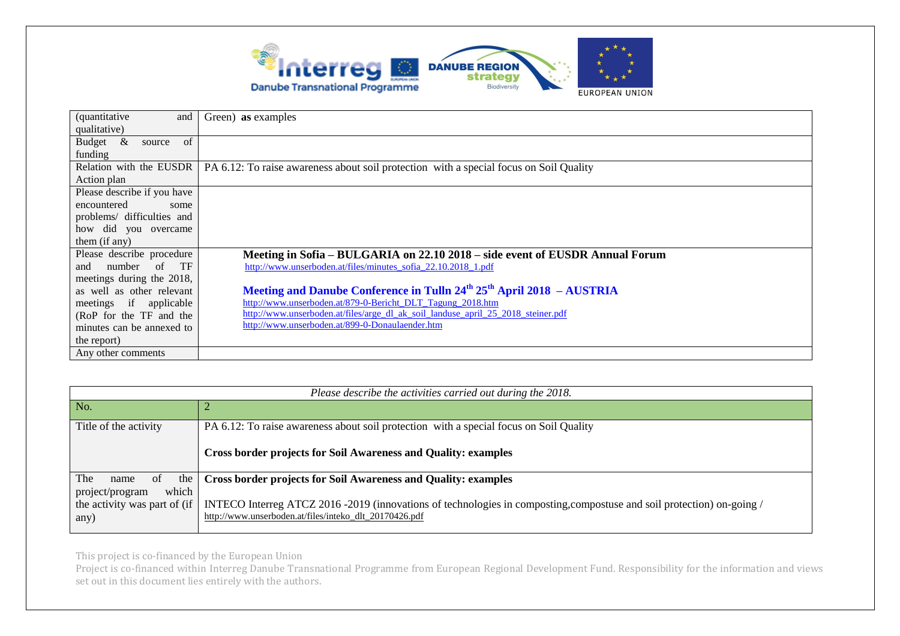

| <i>(quantitative)</i><br>and        | Green) as examples                                                                                               |
|-------------------------------------|------------------------------------------------------------------------------------------------------------------|
| qualitative)                        |                                                                                                                  |
| $\propto$<br>of<br>Budget<br>source |                                                                                                                  |
| funding                             |                                                                                                                  |
|                                     | Relation with the EUSDR   PA 6.12: To raise awareness about soil protection with a special focus on Soil Quality |
| Action plan                         |                                                                                                                  |
| Please describe if you have         |                                                                                                                  |
| encountered<br>some                 |                                                                                                                  |
| problems/ difficulties and          |                                                                                                                  |
| how did you overcame                |                                                                                                                  |
| them (if any)                       |                                                                                                                  |
| Please describe procedure           | Meeting in Sofia – BULGARIA on 22.10 2018 – side event of EUSDR Annual Forum                                     |
| number of TF<br>and                 | http://www.unserboden.at/files/minutes_sofia_22.10.2018_1.pdf                                                    |
| meetings during the 2018,           |                                                                                                                  |
| as well as other relevant           | Meeting and Danube Conference in Tulln 24 <sup>th</sup> 25 <sup>th</sup> April 2018 - AUSTRIA                    |
| meetings if applicable              | http://www.unserboden.at/879-0-Bericht_DLT_Tagung_2018.htm                                                       |
| (RoP for the TF and the             | http://www.unserboden.at/files/arge dl ak soil landuse april 25 2018 steiner.pdf                                 |
| minutes can be annexed to           | http://www.unserboden.at/899-0-Donaulaender.htm                                                                  |
| the report)                         |                                                                                                                  |
| Any other comments                  |                                                                                                                  |

| Please describe the activities carried out during the 2018.      |                                                                                                                                                                                 |  |
|------------------------------------------------------------------|---------------------------------------------------------------------------------------------------------------------------------------------------------------------------------|--|
| No.                                                              |                                                                                                                                                                                 |  |
| Title of the activity                                            | PA 6.12: To raise awareness about soil protection with a special focus on Soil Quality                                                                                          |  |
|                                                                  | <b>Cross border projects for Soil Awareness and Quality: examples</b>                                                                                                           |  |
| The<br>the<br><sub>of</sub><br>name                              | <b>Cross border projects for Soil Awareness and Quality: examples</b>                                                                                                           |  |
| which<br>project/program<br>the activity was part of (if<br>any) | INTECO Interreg ATCZ 2016 -2019 (innovations of technologies in composting,compostuse and soil protection) on-going /<br>http://www.unserboden.at/files/inteko_dlt_20170426.pdf |  |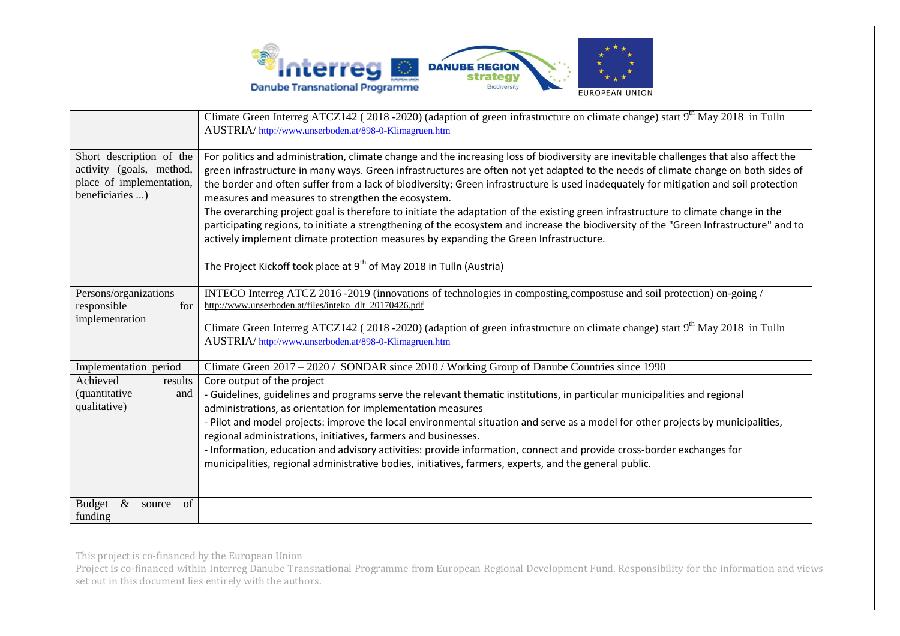

|                                                                                                     | Climate Green Interreg ATCZ142 (2018-2020) (adaption of green infrastructure on climate change) start 9 <sup>th</sup> May 2018 in Tulln<br>AUSTRIA/http://www.unserboden.at/898-0-Klimagruen.htm                                                                                                                                                                                                                                                                                                                                                                                                                                                                                                                                                                                                                                                                                                                                         |
|-----------------------------------------------------------------------------------------------------|------------------------------------------------------------------------------------------------------------------------------------------------------------------------------------------------------------------------------------------------------------------------------------------------------------------------------------------------------------------------------------------------------------------------------------------------------------------------------------------------------------------------------------------------------------------------------------------------------------------------------------------------------------------------------------------------------------------------------------------------------------------------------------------------------------------------------------------------------------------------------------------------------------------------------------------|
| Short description of the<br>activity (goals, method,<br>place of implementation,<br>beneficiaries ) | For politics and administration, climate change and the increasing loss of biodiversity are inevitable challenges that also affect the<br>green infrastructure in many ways. Green infrastructures are often not yet adapted to the needs of climate change on both sides of<br>the border and often suffer from a lack of biodiversity; Green infrastructure is used inadequately for mitigation and soil protection<br>measures and measures to strengthen the ecosystem.<br>The overarching project goal is therefore to initiate the adaptation of the existing green infrastructure to climate change in the<br>participating regions, to initiate a strengthening of the ecosystem and increase the biodiversity of the "Green Infrastructure" and to<br>actively implement climate protection measures by expanding the Green Infrastructure.<br>The Project Kickoff took place at 9 <sup>th</sup> of May 2018 in Tulln (Austria) |
| Persons/organizations<br>responsible<br>for<br>implementation                                       | INTECO Interreg ATCZ 2016 -2019 (innovations of technologies in composting, compostuse and soil protection) on-going /<br>http://www.unserboden.at/files/inteko_dlt_20170426.pdf<br>Climate Green Interreg ATCZ142 (2018-2020) (adaption of green infrastructure on climate change) start 9 <sup>th</sup> May 2018 in Tulln<br>AUSTRIA/http://www.unserboden.at/898-0-Klimagruen.htm                                                                                                                                                                                                                                                                                                                                                                                                                                                                                                                                                     |
| Implementation period<br>Achieved<br>results<br><i>(quantitative)</i><br>and<br>qualitative)        | Climate Green 2017 - 2020 / SONDAR since 2010 / Working Group of Danube Countries since 1990<br>Core output of the project<br>- Guidelines, guidelines and programs serve the relevant thematic institutions, in particular municipalities and regional<br>administrations, as orientation for implementation measures<br>- Pilot and model projects: improve the local environmental situation and serve as a model for other projects by municipalities,<br>regional administrations, initiatives, farmers and businesses.<br>- Information, education and advisory activities: provide information, connect and provide cross-border exchanges for<br>municipalities, regional administrative bodies, initiatives, farmers, experts, and the general public.                                                                                                                                                                          |
| $\&$<br>of<br>Budget<br>source<br>funding                                                           |                                                                                                                                                                                                                                                                                                                                                                                                                                                                                                                                                                                                                                                                                                                                                                                                                                                                                                                                          |